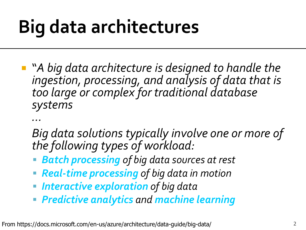"*A big data architecture is designed to handle the ingestion, processing, and analysis of data that is too large or complex for traditional database systems*

*…*

- *Big data solutions typically involve one or more of the following types of workload:*
- *Batch processing of big data sources at rest*
- *Real-time processing of big data in motion*
- *Interactive exploration of big data*
- *Predictive analytics and machine learning*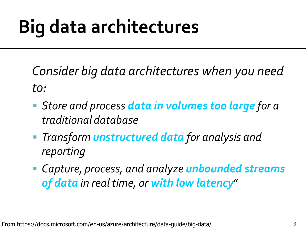*Consider big data architectures when you need to:*

- *Store and process data in volumes too large for a traditional database*
- *Transform unstructured data for analysis and reporting*
- *Capture, process, and analyze unbounded streams of data in real time, or with low latency*"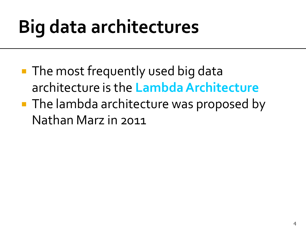- **The most frequently used big data** architecture is the **Lambda Architecture**
- **The lambda architecture was proposed by** Nathan Marz in 2011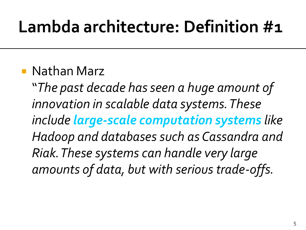#### Nathan Marz

"*The past decade has seen a huge amount of innovation in scalable data systems. These include large-scale computation systems like Hadoop and databases such as Cassandra and Riak. These systems can handle very large amounts of data, but with serious trade-offs.*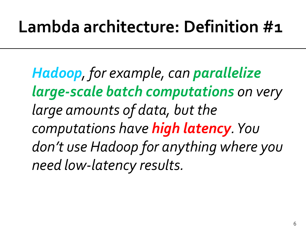*Hadoop, for example, can parallelize large-scale batch computations on very large amounts of data, but the computations have high latency. You don't use Hadoop for anything where you need low-latency results.*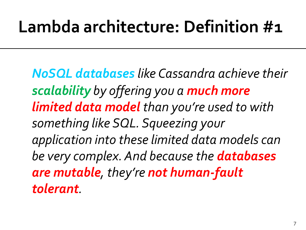*NoSQL databases like Cassandra achieve their scalability by offering you a much more limited data model than you're used to with something like SQL. Squeezing your application into these limited data models can be very complex. And because the databases are mutable, they're not human-fault tolerant.*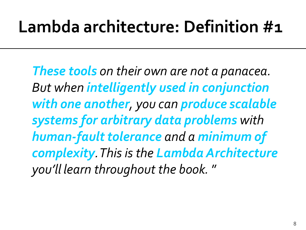*These tools on their own are not a panacea. But when intelligently used in conjunction with one another, you can produce scalable systems for arbitrary data problems with human-fault tolerance and a minimum of complexity. This is the Lambda Architecture you'll learn throughout the book.* "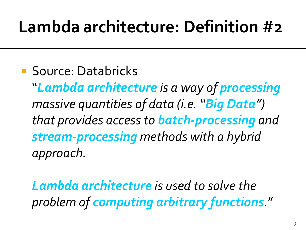**Source: Databricks** 

"*Lambda architecture is a way of processing massive quantities of data (i.e. "Big Data") that provides access to batch-processing and stream-processing methods with a hybrid approach.*

*Lambda architecture is used to solve the problem of computing arbitrary functions.*"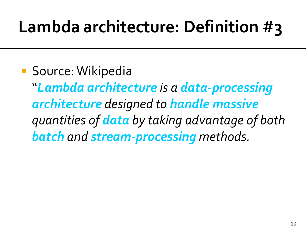**Source: Wikipedia** "*Lambda architecture is a data-processing architecture designed to handle massive quantities of data by taking advantage of both batch and stream-processing methods.*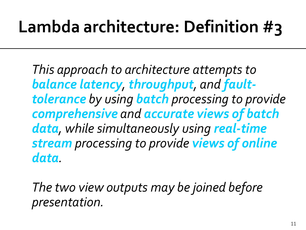*This approach to architecture attempts to balance latency, throughput, and faulttolerance by using batch processing to provide comprehensive and accurate views of batch data, while simultaneously using real-time stream processing to provide views of online data.* 

*The two view outputs may be joined before presentation.*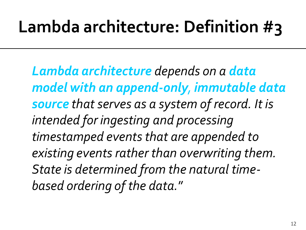*Lambda architecture depends on a data model with an append-only, immutable data source that serves as a system of record. It is intended for ingesting and processing timestamped events that are appended to existing events rather than overwriting them. State is determined from the natural timebased ordering of the data.*"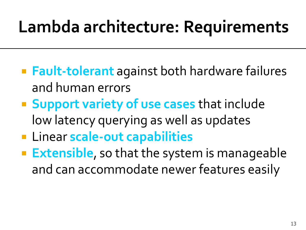## Lambda architecture: Requirements

- **Fault-tolerant** against both hardware failures and human errors
- **Support variety of use cases** that include low latency querying as well as updates
- **Example 1 Example 2 Increment Capabilities**
- **Extensible**, so that the system is manageable and can accommodate newer features easily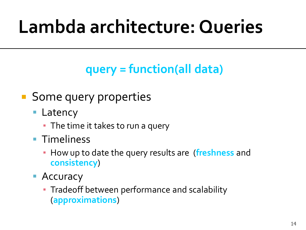# Lambda architecture: Queries

#### **query = function(all data)**

#### **Some query properties**

- Latency
	- The time it takes to run a query
- **Timeliness** 
	- How up to date the query results are (**freshness** and **consistency**)
- Accuracy
	- **Tradeoff between performance and scalability** (**approximations**)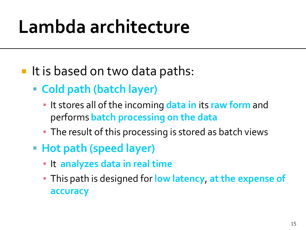- It is based on two data paths:
	- **Cold path (batch layer)**
		- **.** It stores all of the incoming data in its raw form and performs **batch processing on the data**
		- **The result of this processing is stored as batch views**
	- **Hot path (speed layer)**
		- It **analyzes data in real time**
		- This path is designed for **low latency**, **at the expense of accuracy**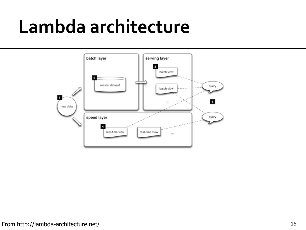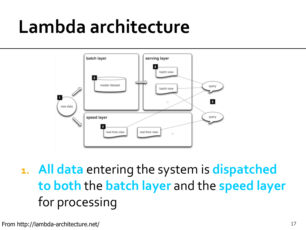

**1. All data** entering the system is **dispatched to both** the **batch layer** and the **speed layer**  for processing

From http://lambda-architecture.net/ 17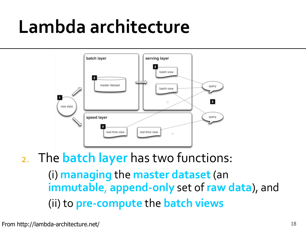

2. The **batch layer** has two functions: (i) **managing** the **master dataset**(an **immutable**, **append-only** set of **raw data**), and (ii) to **pre-compute** the **batch views**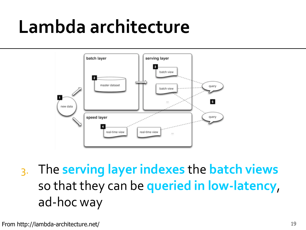

3. The **serving layer indexes** the **batch views**  so that they can be **queried in low-latency**, ad-hoc way

From http://lambda-architecture.net/ 19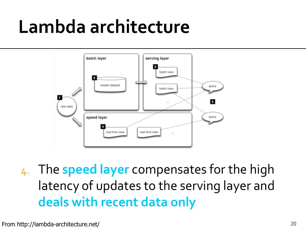

4. The **speed layer** compensates for the high latency of updates to the serving layer and **deals with recent data only**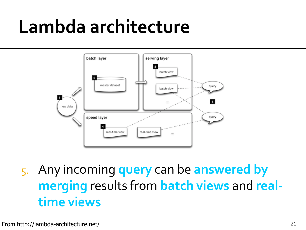

5. Any incoming **query** can be **answered by merging** results from **batch views** and **realtime views**

From http://lambda-architecture.net/ 21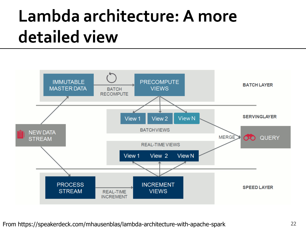#### Lambda architecture: A more detailed view